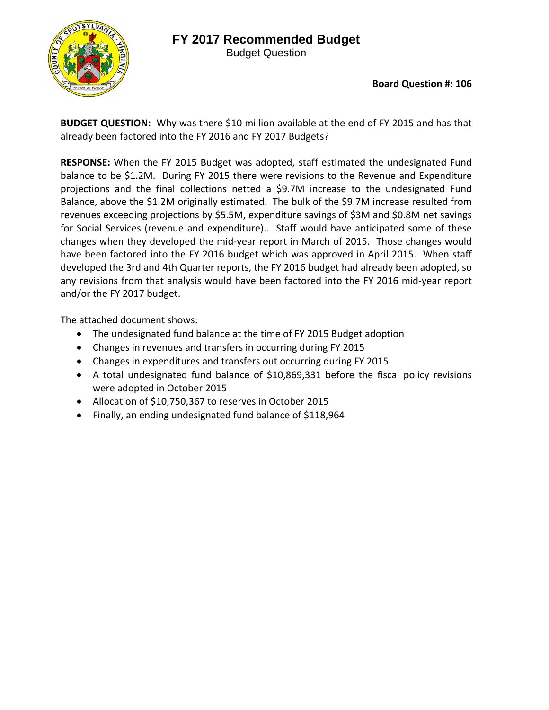## **FY 2017 Recommended Budget**



Budget Question

**Board Question #: 106**

**BUDGET QUESTION:** Why was there \$10 million available at the end of FY 2015 and has that already been factored into the FY 2016 and FY 2017 Budgets?

**RESPONSE:** When the FY 2015 Budget was adopted, staff estimated the undesignated Fund balance to be \$1.2M. During FY 2015 there were revisions to the Revenue and Expenditure projections and the final collections netted a \$9.7M increase to the undesignated Fund Balance, above the \$1.2M originally estimated. The bulk of the \$9.7M increase resulted from revenues exceeding projections by \$5.5M, expenditure savings of \$3M and \$0.8M net savings for Social Services (revenue and expenditure).. Staff would have anticipated some of these changes when they developed the mid‐year report in March of 2015. Those changes would have been factored into the FY 2016 budget which was approved in April 2015. When staff developed the 3rd and 4th Quarter reports, the FY 2016 budget had already been adopted, so any revisions from that analysis would have been factored into the FY 2016 mid‐year report and/or the FY 2017 budget.

The attached document shows:

- The undesignated fund balance at the time of FY 2015 Budget adoption
- Changes in revenues and transfers in occurring during FY 2015
- Changes in expenditures and transfers out occurring during FY 2015
- A total undesignated fund balance of \$10,869,331 before the fiscal policy revisions were adopted in October 2015
- Allocation of \$10,750,367 to reserves in October 2015
- Finally, an ending undesignated fund balance of \$118,964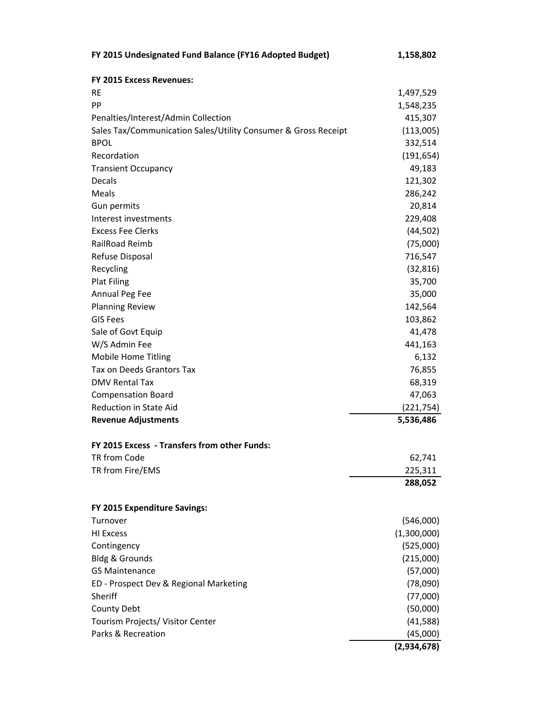| FY 2015 Undesignated Fund Balance (FY16 Adopted Budget)        | 1,158,802           |
|----------------------------------------------------------------|---------------------|
| <b>FY 2015 Excess Revenues:</b>                                |                     |
| <b>RE</b>                                                      | 1,497,529           |
| PP                                                             | 1,548,235           |
| Penalties/Interest/Admin Collection                            | 415,307             |
| Sales Tax/Communication Sales/Utility Consumer & Gross Receipt | (113,005)           |
| <b>BPOL</b>                                                    | 332,514             |
| Recordation                                                    | (191, 654)          |
| <b>Transient Occupancy</b>                                     | 49,183              |
| Decals                                                         | 121,302             |
| Meals                                                          | 286,242             |
| Gun permits                                                    | 20,814              |
| Interest investments                                           | 229,408             |
| <b>Excess Fee Clerks</b>                                       | (44, 502)           |
| RailRoad Reimb                                                 | (75,000)            |
| Refuse Disposal                                                | 716,547             |
| Recycling                                                      | (32, 816)           |
| <b>Plat Filing</b>                                             | 35,700              |
| Annual Peg Fee                                                 | 35,000              |
| <b>Planning Review</b>                                         | 142,564             |
| <b>GIS Fees</b>                                                | 103,862             |
| Sale of Govt Equip                                             | 41,478              |
| W/S Admin Fee                                                  | 441,163             |
| <b>Mobile Home Titling</b><br>Tax on Deeds Grantors Tax        | 6,132               |
| <b>DMV Rental Tax</b>                                          | 76,855<br>68,319    |
| <b>Compensation Board</b>                                      |                     |
| <b>Reduction in State Aid</b>                                  | 47,063<br>(221,754) |
| <b>Revenue Adjustments</b>                                     | 5,536,486           |
|                                                                |                     |
| FY 2015 Excess - Transfers from other Funds:                   |                     |
| TR from Code                                                   | 62,741              |
| TR from Fire/EMS                                               | 225,311             |
|                                                                | 288,052             |
| FY 2015 Expenditure Savings:                                   |                     |
| Turnover                                                       | (546,000)           |
| <b>HI Excess</b>                                               | (1,300,000)         |
| Contingency                                                    | (525,000)           |
| Bldg & Grounds                                                 | (215,000)           |
| <b>GS Maintenance</b>                                          | (57,000)            |
| ED - Prospect Dev & Regional Marketing                         | (78,090)            |
| Sheriff                                                        | (77,000)            |
| County Debt                                                    | (50,000)            |
| Tourism Projects/ Visitor Center                               | (41,588)            |
| Parks & Recreation                                             | (45,000)            |
|                                                                | (2,934,678)         |